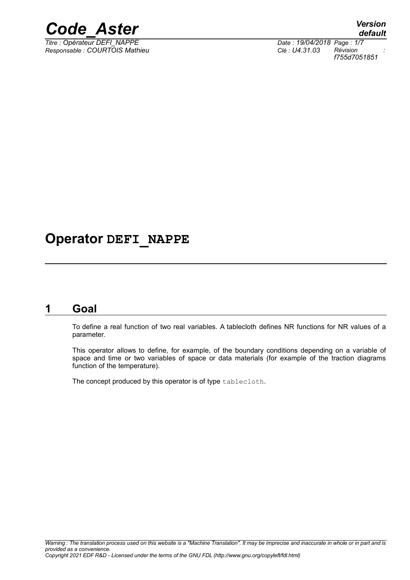

*Titre : Opérateur DEFI\_NAPPE Date : 19/04/2018 Page : 1/7 Responsable : COURTOIS Mathieu Clé : U4.31.03 Révision :*

*default f755d7051851*

## **Operator DEFI\_NAPPE**

## **1 Goal**

To define a real function of two real variables. A tablecloth defines NR functions for NR values of a parameter.

This operator allows to define, for example, of the boundary conditions depending on a variable of space and time or two variables of space or data materials (for example of the traction diagrams function of the temperature).

The concept produced by this operator is of type tablecloth.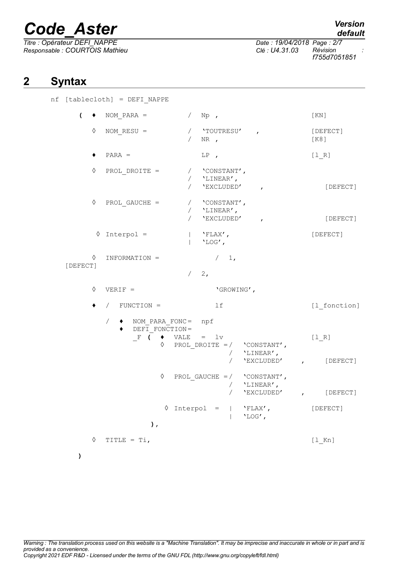*Titre : Opérateur DEFI\_NAPPE Date : 19/04/2018 Page : 2/7 Responsable : COURTOIS Mathieu Clé : U4.31.03 Révision :*

## *default*

*f755d7051851*

## **2 Syntax**

|  | nf [tablecloth] = DEFI NAPPE |            |                                                                                        |            |                                                                              |                                                                 |  |                          |
|--|------------------------------|------------|----------------------------------------------------------------------------------------|------------|------------------------------------------------------------------------------|-----------------------------------------------------------------|--|--------------------------|
|  | $($ $\bullet$                |            | NOM PARA = $/ NP$ ,                                                                    |            |                                                                              |                                                                 |  | [ KN ]                   |
|  |                              | ♦          | NOM $RESU =$                                                                           | $\sqrt{2}$ | / 'TOUTRESU',<br>NR,                                                         |                                                                 |  | [DEFECT]<br>[K8]         |
|  |                              |            | $PARA =$                                                                               |            | LP,                                                                          |                                                                 |  | $[1 R]$                  |
|  | [DEFECT]                     | ♦          | PROL DROITE =                                                                          |            | / 'CONSTANT',<br>/ $\,$ $\,$ $\,$ LINEAR<br>$\prime$ $\,$ $\,$<br>'EXCLUDED' | $\mathbf{r}$                                                    |  | [DEFECT]                 |
|  |                              | ♦          | PROL GAUCHE =                                                                          |            | / 'CONSTANT',<br>/ 'LINEAR',<br>'EXCLUDED'                                   | $\mathbf{r}$                                                    |  | [DEFECT]                 |
|  |                              |            | $\Diamond$ Interpol =                                                                  |            | $'$ FLAX',<br>$'LOG'$ ,                                                      |                                                                 |  | [DEFECT]                 |
|  |                              |            | $\Diamond$ INFORMATION =                                                               | $/2$ ,     | / 1,                                                                         |                                                                 |  |                          |
|  |                              | ♦          | $VERIF =$                                                                              |            | 'GROWING',                                                                   |                                                                 |  |                          |
|  |                              |            | $/$ FUNCTION =                                                                         |            | lf                                                                           |                                                                 |  | [1 fonction]             |
|  |                              |            | ◆ NOM_PARA_FONC= npf<br>$\sqrt{2}$<br>DEFI FONCTION=<br>F ( $\bullet$ VALE = $1v$<br>♦ |            |                                                                              | PROL DROITE = $/$ 'CONSTANT',<br>/ $'$ LINEAR',<br>/ 'EXCLUDED' |  | [1 R]<br>$\sqrt{DEFECT}$ |
|  |                              |            | ♦                                                                                      |            | $\sqrt{2}$                                                                   | PROL GAUCHE = $/$ 'CONSTANT',<br>/ $'$ LINEAR',<br>'EXCLUDED'   |  | , [DEFECT]               |
|  |                              |            | $\Diamond$ Interpol =<br>$\,$ , $\,$                                                   |            |                                                                              | 'FLAX',<br>'LOG',                                               |  | [DEFECT]                 |
|  |                              | $\Diamond$ | TITLE = $Ti$ ,                                                                         |            |                                                                              |                                                                 |  | $[1$ Kn]                 |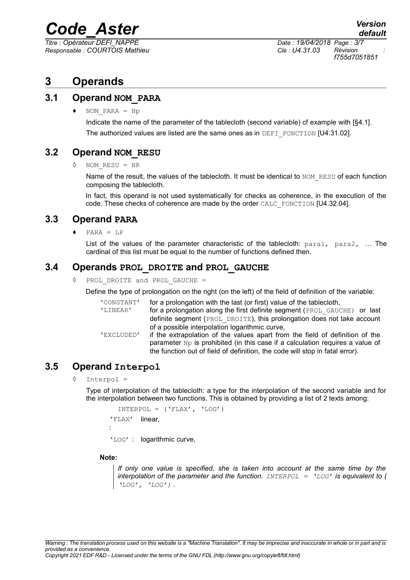*Titre : Opérateur DEFI\_NAPPE Date : 19/04/2018 Page : 3/7 Responsable : COURTOIS Mathieu Clé : U4.31.03 Révision :*

*f755d7051851*

## **3 Operands**

#### **3.1 Operand NOM\_PARA**

♦ NOM\_PARA = Np

Indicate the name of the parameter of the tablecloth (second variable) cf example with [§4.1]. The authorized values are listed are the same ones as in  $DEFI$  FONCTION [U4.31.02].

#### **3.2 Operand NOM\_RESU**

◊ NOM\_RESU = NR

Name of the result, the values of the tablecloth. It must be identical to NOM\_RESU of each function composing the tablecloth.

In fact, this operand is not used systematically for checks as coherence, in the execution of the code. These checks of coherence are made by the order CALC\_FONCTION [U4.32.04].

#### **3.3 Operand PARA**

 $PARA = LP$ 

List of the values of the parameter characteristic of the tablecloth:  $para1$ ,  $para2$ , ... The cardinal of this list must be equal to the number of functions defined then.

#### **3.4 Operands PROL\_DROITE and PROL\_GAUCHE**

◊ PROL\_DROITE and PROL\_GAUCHE =

Define the type of prolongation on the right (on the left) of the field of definition of the variable:

| 'CONSTANT' | for a prolongation with the last (or first) value of the tablecioth,                   |  |  |  |
|------------|----------------------------------------------------------------------------------------|--|--|--|
| 'LINEAR'   | for a prolongation along the first definite segment (PROL GAUCHE) or last              |  |  |  |
|            | definite segment (PROL DROITE), this prolongation does not take account                |  |  |  |
|            | of a possible interpolation logarithmic curve,                                         |  |  |  |
| 'EXCLUDED' | if the extrapolation of the values apart from the field of definition of the           |  |  |  |
|            | parameter $N_{\rm P}$ is prohibited (in this case if a calculation requires a value of |  |  |  |
|            | the function out of field of definition, the code will stop in fatal error).           |  |  |  |

### **3.5 Operand Interpol**

 $Interpol =$ 

Type of interpolation of the tablecloth: a type for the interpolation of the second variable and for the interpolation between two functions. This is obtained by providing a list of 2 texts among:

```
INTERPOL = ('FLAX', 'LOG')'FLAX'
:
        linear,
'LOG' : logarithmic curve,
```
#### **Note:**

*If only one value is specified, she is taken into account at the same time by the interpolation of the parameter and the function. INTERPOL = 'LOG' is equivalent to ( 'LOG', 'LOG') .*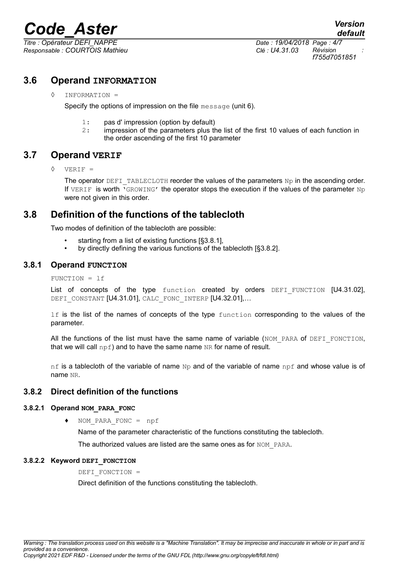*Titre : Opérateur DEFI\_NAPPE Date : 19/04/2018 Page : 4/7 Responsable : COURTOIS Mathieu Clé : U4.31.03 Révision :*

*f755d7051851*

#### **3.6 Operand INFORMATION**

#### ◊ INFORMATION =

Specify the options of impression on the file message (unit 6).

- 1: pas d' impression (option by default)
- 2: impression of the parameters plus the list of the first 10 values of each function in the order ascending of the first 10 parameter

#### **3.7 Operand VERIF**

◊ VERIF =

The operator DEFI\_TABLECLOTH reorder the values of the parameters  $Np$  in the ascending order. If VERIF is worth 'GROWING' the operator stops the execution if the values of the parameter  $Np$ were not given in this order.

### **3.8 Definition of the functions of the tablecloth**

Two modes of definition of the tablecloth are possible:

- starting from a list of existing functions [§3.8.1],
- by directly defining the various functions of the tablecloth [§3.8.2].

#### **3.8.1 Operand FUNCTION**

FUNCTION = lf

List of concepts of the type function created by orders DEFI FUNCTION [U4.31.02], DEFI\_CONSTANT [U4.31.01], CALC\_FONC\_INTERP [U4.32.01],...

If is the list of the names of concepts of the type  $function$  corresponding to the values of the parameter.

All the functions of the list must have the same name of variable ( $NOM$  PARA of DEFI FONCTION, that we will call  $npf$ ) and to have the same name NR for name of result.

 $nf$  is a tablecloth of the variable of name  $Np$  and of the variable of name  $npf$  and whose value is of name NR.

#### **3.8.2 Direct definition of the functions**

#### **3.8.2.1 Operand NOM\_PARA\_FONC**

NOM PARA FONC =  $npf$ 

Name of the parameter characteristic of the functions constituting the tablecloth.

The authorized values are listed are the same ones as for NOM\_PARA.

#### **3.8.2.2 Keyword DEFI\_FONCTION**

DEFI\_FONCTION =

Direct definition of the functions constituting the tablecloth.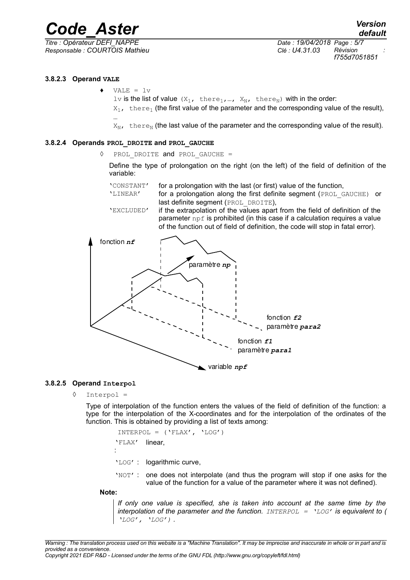*f755d7051851*

#### **3.8.2.3 Operand VALE**

 $VALE = 1v$ 

lv is the list of value  $(X_1, \text{ there}_1, ..., X_N, \text{ there}_N)$  with in the order:  $X_1$ , there<sub>1</sub> (the first value of the parameter and the corresponding value of the result),

…  $X_{N,t}$  there<sub>N</sub> (the last value of the parameter and the corresponding value of the result).

#### **3.8.2.4 Operands PROL\_DROITE and PROL\_GAUCHE**

◊ PROL\_DROITE and PROL\_GAUCHE =

Define the type of prolongation on the right (on the left) of the field of definition of the variable:

'CONSTANT' for a prolongation with the last (or first) value of the function, 'LINEAR' for a prolongation along the first definite segment (PROL GAUCHE) or last definite segment (PROL\_DROITE), 'EXCLUDED' if the extrapolation of the values apart from the field of definition of the parameter  $\text{nd}$  is prohibited (in this case if a calculation requires a value



#### **3.8.2.5 Operand Interpol**

 $Interpol =$ 

Type of interpolation of the function enters the values of the field of definition of the function: a type for the interpolation of the X-coordinates and for the interpolation of the ordinates of the function. This is obtained by providing a list of texts among:

 $INTERPOL = ('FLAX', 'LOG')$ 'FLAX' : linear, 'LOG' : logarithmic curve,

'NOT' : one does not interpolate (and thus the program will stop if one asks for the value of the function for a value of the parameter where it was not defined).

#### **Note:**

*If only one value is specified, she is taken into account at the same time by the interpolation of the parameter and the function. INTERPOL = 'LOG' is equivalent to ( 'LOG', 'LOG') .*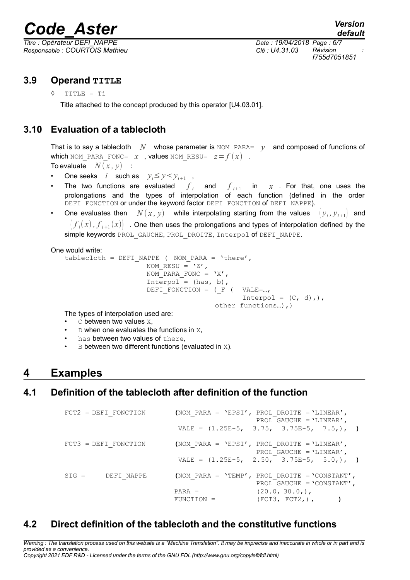*Responsable : COURTOIS Mathieu Clé : U4.31.03 Révision :*

*Titre : Opérateur DEFI\_NAPPE Date : 19/04/2018 Page : 6/7 f755d7051851*

### **3.9 Operand TITLE**

◊ TITLE = Ti

Title attached to the concept produced by this operator [U4.03.01].

## **3.10 Evaluation of a tablecloth**

That is to say a tablecloth *N* whose parameter is NOM\_PARA= *y* and composed of functions of which NOM\_PARA\_FONC=  $x$  , values NOM\_RESU=  $z = f(x)$  . To evaluate  $N(x, y)$  :

- 
- One seeks *i* such as  $y_i \le y \le y_{i+1}$ ,
- The two functions are evaluated  $f_{i}$  and *f*  $\int_{i+1}$  in *x* . For that, one uses the prolongations and the types of interpolation of each function (defined in the order DEFI FONCTION or under the keyword factor DEFI FONCTION of DEFI\_NAPPE).
- One evaluates then  $N(x, y)$  while interpolating starting from the values  $(y_i, y_{i+1})$  and  $\big\vert f_i(x), f_{i+1}(x) \big\vert$  . One then uses the prolongations and types of interpolation defined by the simple keywords PROL\_GAUCHE, PROL\_DROITE, Interpol of DEFI\_NAPPE.

One would write:

```
tablecloth = DEFI_NAPPE ( NOM_PARA = 'there',
                    NOM RESU = 'Z',
                    NOM PARA FONC = 'X',
                    Interpol = (has, b),
                    DEFI_FONCTION = ( F ( VALE=...,
                                            Interpol = (C, d),),
                                     other functions…),)
```
The types of interpolation used are:

- C between two values X,
- $D$  when one evaluates the functions in  $X$ .
- has between two values of there.
- $B$  between two different functions (evaluated in  $X$ ).

## **4 Examples**

### **4.1 Definition of the tablecloth after definition of the function**

| $FCT2 = DEFI$ FONCTION |              | (NOM PARA = 'EPSI', PROL DROITE = 'LINEAR',<br>PROL GAUCHE = $'$ LINEAR',          |
|------------------------|--------------|------------------------------------------------------------------------------------|
|                        |              | VALE = $(1.25E-5, 3.75, 3.75E-5, 7.5,),$                                           |
| $FCT3 = DEFI$ FONCTION |              | (NOM PARA = 'EPSI', PROL DROITE = 'LINEAR',<br>PROL GAUCHE = $'$ LINEAR',          |
|                        |              | VALE = $(1.25E-5, 2.50, 3.75E-5, 5.0,),$                                           |
| $SIG = DEFFI NAPPE$    |              | (NOM PARA = 'TEMP', PROL DROITE = 'CONSTANT',<br>PROL GAUCHE = $\text{CONSTANT}$ , |
|                        | $PARA =$     | $(20.0, 30.0)$ ,                                                                   |
|                        | $FUNCTION =$ | (FCT3, FCT2,),                                                                     |

## **4.2 Direct definition of the tablecloth and the constitutive functions**

*Warning : The translation process used on this website is a "Machine Translation". It may be imprecise and inaccurate in whole or in part and is provided as a convenience. Copyright 2021 EDF R&D - Licensed under the terms of the GNU FDL (http://www.gnu.org/copyleft/fdl.html)*